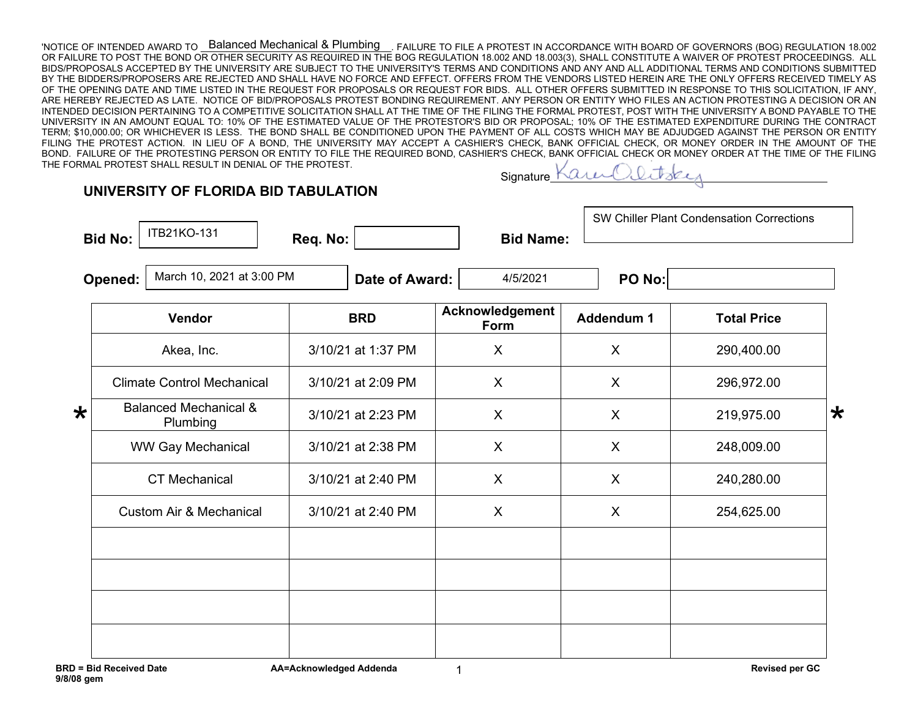'NOTICE OF INTENDED AWARD TO \_\_<del>B</del>alanced Mechanical & Plumbing \_\_. FAILURE TO FILE A PROTEST IN ACCORDANCE WITH BOARD OF GOVERNORS (BOG) REGULATION 18.002 OR FAILURE TO POST THE BOND OR OTHER SECURITY AS REQUIRED IN THE BOG REGULATION 18.002 AND 18.003(3), SHALL CONSTITUTE A WAIVER OF PROTEST PROCEEDINGS. ALL BIDS/PROPOSALS ACCEPTED BY THE UNIVERSITY ARE SUBJECT TO THE UNIVERSITY'S TERMS AND CONDITIONS AND ANY AND ALL ADDITIONAL TERMS AND CONDITIONS SUBMITTED BY THE BIDDERS/PROPOSERS ARE REJECTED AND SHALL HAVE NO FORCE AND EFFECT. OFFERS FROM THE VENDORS LISTED HEREIN ARE THE ONLY OFFERS RECEIVED TIMELY AS OF THE OPENING DATE AND TIME LISTED IN THE REQUEST FOR PROPOSALS OR REQUEST FOR BIDS. ALL OTHER OFFERS SUBMITTED IN RESPONSE TO THIS SOLICITATION, IF ANY, ARE HEREBY REJECTED AS LATE. NOTICE OF BID/PROPOSALS PROTEST BONDING REQUIREMENT. ANY PERSON OR ENTITY WHO FILES AN ACTION PROTESTING A DECISION OR AN INTENDED DECISION PERTAINING TO A COMPETITIVE SOLICITATION SHALL AT THE TIME OF THE FILING THE FORMAL PROTEST, POST WITH THE UNIVERSITY A BOND PAYABLE TO THE UNIVERSITY IN AN AMOUNT EQUAL TO: 10% OF THE ESTIMATED VALUE OF THE PROTESTOR'S BID OR PROPOSAL; 10% OF THE ESTIMATED EXPENDITURE DURING THE CONTRACT TERM; \$10,000.00; OR WHICHEVER IS LESS. THE BOND SHALL BE CONDITIONED UPON THE PAYMENT OF ALL COSTS WHICH MAY BE ADJUDGED AGAINST THE PERSON OR ENTITY FILING THE PROTEST ACTION. IN LIEU OF A BOND, THE UNIVERSITY MAY ACCEPT A CASHIER'S CHECK, BANK OFFICIAL CHECK, OR MONEY ORDER IN THE AMOUNT OF THE BOND. FAILURE OF THE PROTESTING PERSON OR ENTITY TO FILE THE REQUIRED BOND, CASHIER'S CHECK, BANK OFFICIAL CHECK OR MONEY ORDER AT THE TIME OF THE FILING THE FORMAL PROTEST SHALL RESULT IN DENIAL OF THE PROTEST. Balanced Mechanical & Plumbing

## **Signature**

|         | ITB21KO-131<br><b>Bid No:</b>        | Req. No:           | <b>Bid Name:</b>               |            | <b>SW Chiller Plant Condensation Corrections</b> |   |  |
|---------|--------------------------------------|--------------------|--------------------------------|------------|--------------------------------------------------|---|--|
|         | March 10, 2021 at 3:00 PM<br>Opened: | Date of Award:     | 4/5/2021                       | PO No:     |                                                  |   |  |
|         | Vendor                               | <b>BRD</b>         | Acknowledgement<br><b>Form</b> | Addendum 1 | <b>Total Price</b>                               |   |  |
|         | Akea, Inc.                           | 3/10/21 at 1:37 PM | X                              | X          | 290,400.00                                       |   |  |
|         | <b>Climate Control Mechanical</b>    | 3/10/21 at 2:09 PM | X                              | X          | 296,972.00                                       |   |  |
| $\star$ | Balanced Mechanical &<br>Plumbing    | 3/10/21 at 2:23 PM | $\times$                       | X          | 219,975.00                                       | ₭ |  |
|         | <b>WW Gay Mechanical</b>             | 3/10/21 at 2:38 PM | X                              | X          | 248,009.00                                       |   |  |
|         | <b>CT</b> Mechanical                 | 3/10/21 at 2:40 PM | Χ                              | X          | 240,280.00                                       |   |  |

Custom Air & Mechanical | 3/10/21 at 2:40 PM | X | X | 254,625.00

1

**UNIVERSITY OF FLORIDA BID TABULATION**